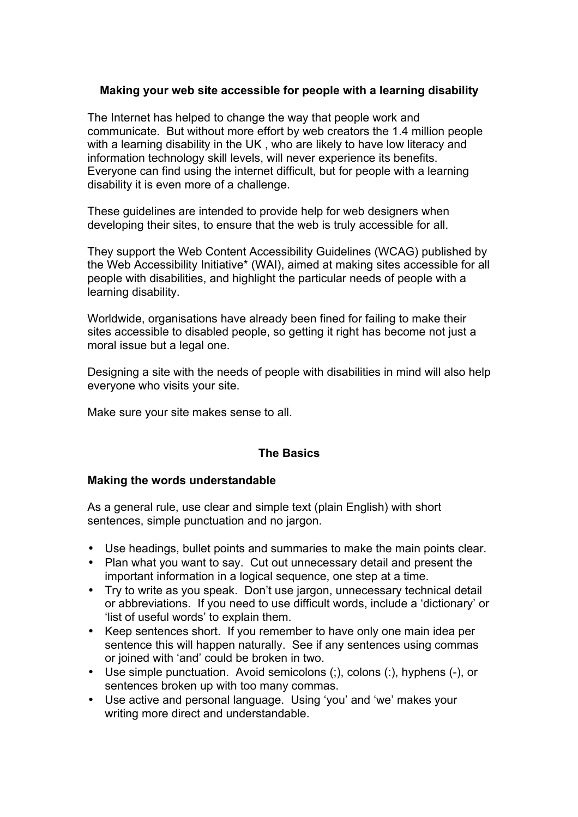## **Making your web site accessible for people with a learning disability**

The Internet has helped to change the way that people work and communicate. But without more effort by web creators the 1.4 million people with a learning disability in the UK , who are likely to have low literacy and information technology skill levels, will never experience its benefits. Everyone can find using the internet difficult, but for people with a learning disability it is even more of a challenge.

These guidelines are intended to provide help for web designers when developing their sites, to ensure that the web is truly accessible for all.

They support the Web Content Accessibility Guidelines (WCAG) published by the Web Accessibility Initiative\* (WAI), aimed at making sites accessible for all people with disabilities, and highlight the particular needs of people with a learning disability.

Worldwide, organisations have already been fined for failing to make their sites accessible to disabled people, so getting it right has become not just a moral issue but a legal one.

Designing a site with the needs of people with disabilities in mind will also help everyone who visits your site.

Make sure your site makes sense to all.

## **The Basics**

## **Making the words understandable**

As a general rule, use clear and simple text (plain English) with short sentences, simple punctuation and no jargon.

- Use headings, bullet points and summaries to make the main points clear.
- Plan what you want to say. Cut out unnecessary detail and present the important information in a logical sequence, one step at a time.
- Try to write as you speak. Don't use jargon, unnecessary technical detail or abbreviations. If you need to use difficult words, include a 'dictionary' or 'list of useful words' to explain them.
- Keep sentences short. If you remember to have only one main idea per sentence this will happen naturally. See if any sentences using commas or joined with 'and' could be broken in two.
- Use simple punctuation. Avoid semicolons (;), colons (:), hyphens (-), or sentences broken up with too many commas.
- Use active and personal language. Using 'you' and 'we' makes your writing more direct and understandable.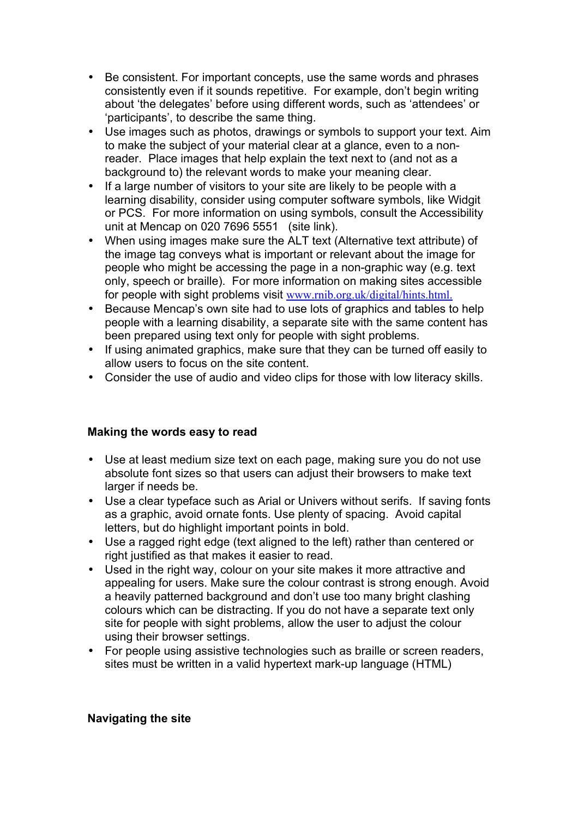- Be consistent. For important concepts, use the same words and phrases consistently even if it sounds repetitive. For example, don't begin writing about 'the delegates' before using different words, such as 'attendees' or 'participants', to describe the same thing.
- Use images such as photos, drawings or symbols to support your text. Aim to make the subject of your material clear at a glance, even to a nonreader. Place images that help explain the text next to (and not as a background to) the relevant words to make your meaning clear.
- If a large number of visitors to your site are likely to be people with a learning disability, consider using computer software symbols, like Widgit or PCS. For more information on using symbols, consult the Accessibility unit at Mencap on 020 7696 5551 (site link).
- When using images make sure the ALT text (Alternative text attribute) of the image tag conveys what is important or relevant about the image for people who might be accessing the page in a non-graphic way (e.g. text only, speech or braille). For more information on making sites accessible for people with sight problems visit [www.rnib.org.uk/digital/hints.html](http://www.rnib.org.uk/digital/hints.htm).
- Because Mencap's own site had to use lots of graphics and tables to help people with a learning disability, a separate site with the same content has been prepared using text only for people with sight problems.
- If using animated graphics, make sure that they can be turned off easily to allow users to focus on the site content.
- Consider the use of audio and video clips for those with low literacy skills.

# **Making the words easy to read**

- Use at least medium size text on each page, making sure you do not use absolute font sizes so that users can adjust their browsers to make text larger if needs be.
- Use a clear typeface such as Arial or Univers without serifs. If saving fonts as a graphic, avoid ornate fonts. Use plenty of spacing. Avoid capital letters, but do highlight important points in bold.
- Use a ragged right edge (text aligned to the left) rather than centered or right justified as that makes it easier to read.
- Used in the right way, colour on your site makes it more attractive and appealing for users. Make sure the colour contrast is strong enough. Avoid a heavily patterned background and don't use too many bright clashing colours which can be distracting. If you do not have a separate text only site for people with sight problems, allow the user to adjust the colour using their browser settings.
- For people using assistive technologies such as braille or screen readers, sites must be written in a valid hypertext mark-up language (HTML)

## **Navigating the site**